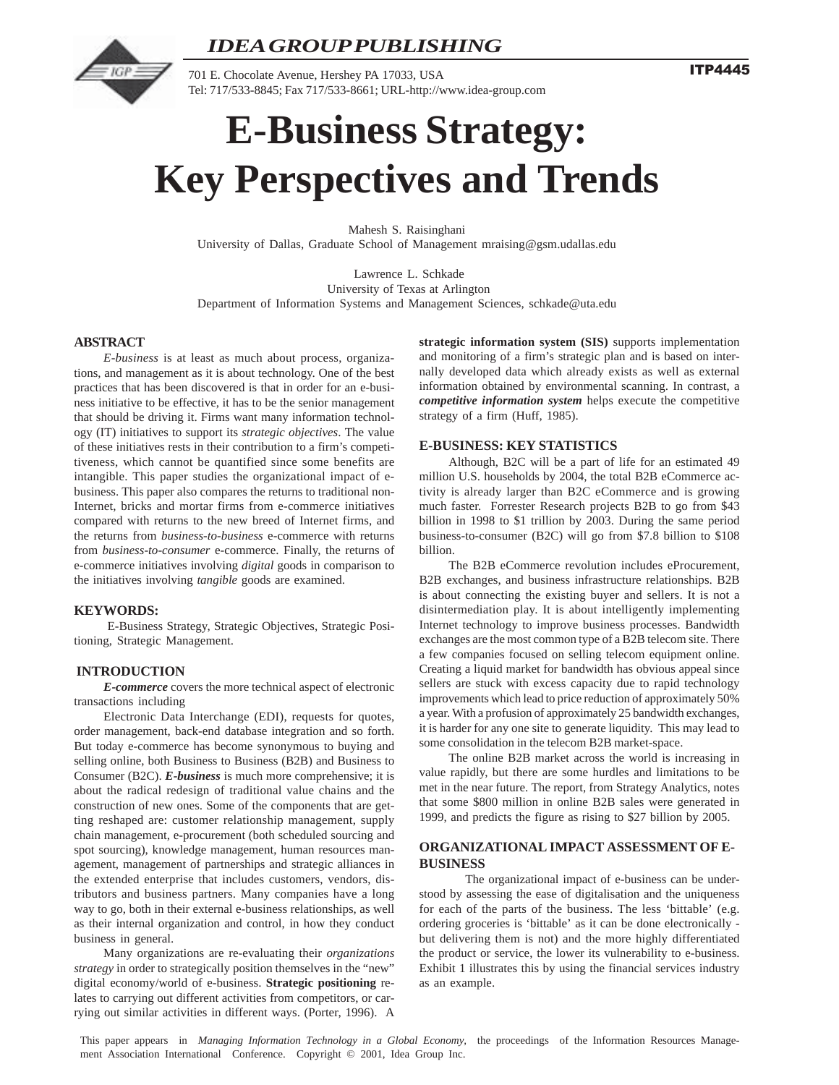



701 E. Chocolate Avenue, Hershey PA 17033, USA Tel: 717/533-8845; Fax 717/533-8661; URL-http://www.idea-group.com **ITP4445** 

# **E-Business Strategy: Key Perspectives and Trends**

Mahesh S. Raisinghani University of Dallas, Graduate School of Management mraising@gsm.udallas.edu

 Lawrence L. Schkade University of Texas at Arlington Department of Information Systems and Management Sciences, schkade@uta.edu

# **ABSTRACT**

*E-business* is at least as much about process, organizations, and management as it is about technology. One of the best practices that has been discovered is that in order for an e-business initiative to be effective, it has to be the senior management that should be driving it. Firms want many information technology (IT) initiatives to support its *strategic objectives*. The value of these initiatives rests in their contribution to a firm's competitiveness, which cannot be quantified since some benefits are intangible. This paper studies the organizational impact of ebusiness. This paper also compares the returns to traditional non-Internet, bricks and mortar firms from e-commerce initiatives compared with returns to the new breed of Internet firms, and the returns from *business-to-business* e-commerce with returns from *business-to-consumer* e-commerce. Finally, the returns of e-commerce initiatives involving *digital* goods in comparison to the initiatives involving *tangible* goods are examined.

# **KEYWORDS:**

 E-Business Strategy, Strategic Objectives, Strategic Positioning, Strategic Management.

# **INTRODUCTION**

*E-commerce* covers the more technical aspect of electronic transactions including

Electronic Data Interchange (EDI), requests for quotes, order management, back-end database integration and so forth. But today e-commerce has become synonymous to buying and selling online, both Business to Business (B2B) and Business to Consumer (B2C). *E-business* is much more comprehensive; it is about the radical redesign of traditional value chains and the construction of new ones. Some of the components that are getting reshaped are: customer relationship management, supply chain management, e-procurement (both scheduled sourcing and spot sourcing), knowledge management, human resources management, management of partnerships and strategic alliances in the extended enterprise that includes customers, vendors, distributors and business partners. Many companies have a long way to go, both in their external e-business relationships, as well as their internal organization and control, in how they conduct business in general.

Many organizations are re-evaluating their *organizations strategy* in order to strategically position themselves in the "new" digital economy/world of e-business. **Strategic positioning** relates to carrying out different activities from competitors, or carrying out similar activities in different ways. (Porter, 1996). A **strategic information system (SIS)** supports implementation and monitoring of a firm's strategic plan and is based on internally developed data which already exists as well as external information obtained by environmental scanning. In contrast, a *competitive information system* helps execute the competitive strategy of a firm (Huff, 1985).

# **E-BUSINESS: KEY STATISTICS**

Although, B2C will be a part of life for an estimated 49 million U.S. households by 2004, the total B2B eCommerce activity is already larger than B2C eCommerce and is growing much faster. Forrester Research projects B2B to go from \$43 billion in 1998 to \$1 trillion by 2003. During the same period business-to-consumer (B2C) will go from \$7.8 billion to \$108 billion.

The B2B eCommerce revolution includes eProcurement, B2B exchanges, and business infrastructure relationships. B2B is about connecting the existing buyer and sellers. It is not a disintermediation play. It is about intelligently implementing Internet technology to improve business processes. Bandwidth exchanges are the most common type of a B2B telecom site. There a few companies focused on selling telecom equipment online. Creating a liquid market for bandwidth has obvious appeal since sellers are stuck with excess capacity due to rapid technology improvements which lead to price reduction of approximately 50% a year. With a profusion of approximately 25 bandwidth exchanges, it is harder for any one site to generate liquidity. This may lead to some consolidation in the telecom B2B market-space.

The online B2B market across the world is increasing in value rapidly, but there are some hurdles and limitations to be met in the near future. The report, from Strategy Analytics, notes that some \$800 million in online B2B sales were generated in 1999, and predicts the figure as rising to \$27 billion by 2005.

# **ORGANIZATIONAL IMPACT ASSESSMENT OF E-BUSINESS**

 The organizational impact of e-business can be understood by assessing the ease of digitalisation and the uniqueness for each of the parts of the business. The less 'bittable' (e.g. ordering groceries is 'bittable' as it can be done electronically but delivering them is not) and the more highly differentiated the product or service, the lower its vulnerability to e-business. Exhibit 1 illustrates this by using the financial services industry as an example.

This paper appears in *Managing Information Technology in a Global Economy*, the proceedings of the Information Resources Management Association International Conference. Copyright © 2001, Idea Group Inc.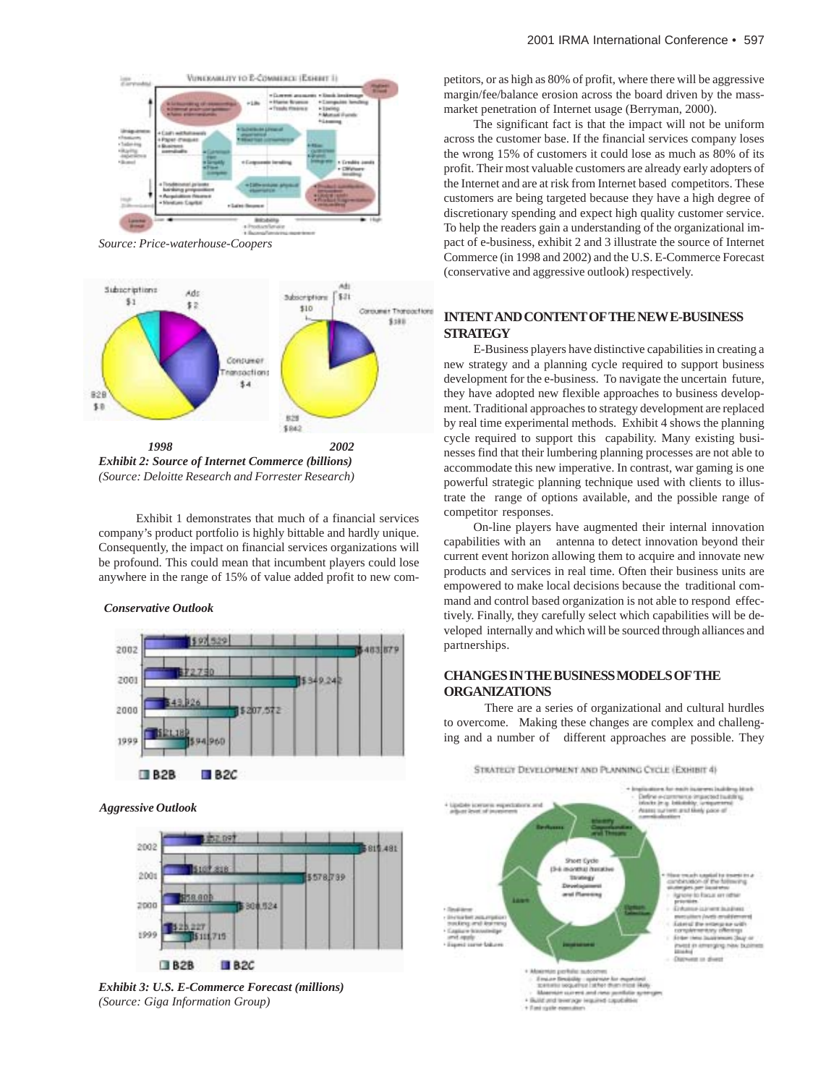

*Source: Price-waterhouse-Coopers*



*(Source: Deloitte Research and Forrester Research)*

 Exhibit 1 demonstrates that much of a financial services company's product portfolio is highly bittable and hardly unique. Consequently, the impact on financial services organizations will be profound. This could mean that incumbent players could lose anywhere in the range of 15% of value added profit to new com-

#### *Conservative Outlook*



*Aggressive Outlook*



*Exhibit 3: U.S. E-Commerce Forecast (millions) (Source: Giga Information Group)*

petitors, or as high as 80% of profit, where there will be aggressive margin/fee/balance erosion across the board driven by the massmarket penetration of Internet usage (Berryman, 2000).

The significant fact is that the impact will not be uniform across the customer base. If the financial services company loses the wrong 15% of customers it could lose as much as 80% of its profit. Their most valuable customers are already early adopters of the Internet and are at risk from Internet based competitors. These customers are being targeted because they have a high degree of discretionary spending and expect high quality customer service. To help the readers gain a understanding of the organizational impact of e-business, exhibit 2 and 3 illustrate the source of Internet Commerce (in 1998 and 2002) and the U.S. E-Commerce Forecast (conservative and aggressive outlook) respectively.

# **INTENT AND CONTENT OF THE NEW E-BUSINESS STRATEGY**

E-Business players have distinctive capabilities in creating a new strategy and a planning cycle required to support business development for the e-business. To navigate the uncertain future, they have adopted new flexible approaches to business development. Traditional approaches to strategy development are replaced by real time experimental methods. Exhibit 4 shows the planning cycle required to support this capability. Many existing businesses find that their lumbering planning processes are not able to accommodate this new imperative. In contrast, war gaming is one powerful strategic planning technique used with clients to illustrate the range of options available, and the possible range of competitor responses.

On-line players have augmented their internal innovation capabilities with an antenna to detect innovation beyond their current event horizon allowing them to acquire and innovate new products and services in real time. Often their business units are empowered to make local decisions because the traditional command and control based organization is not able to respond effectively. Finally, they carefully select which capabilities will be developed internally and which will be sourced through alliances and partnerships.

# **CHANGES IN THE BUSINESS MODELS OF THE ORGANIZATIONS**

 There are a series of organizational and cultural hurdles to overcome. Making these changes are complex and challenging and a number of different approaches are possible. They

STRATEGY DEVELOPMENT AND PLANNING CYCLE (EXHIBIT 4)

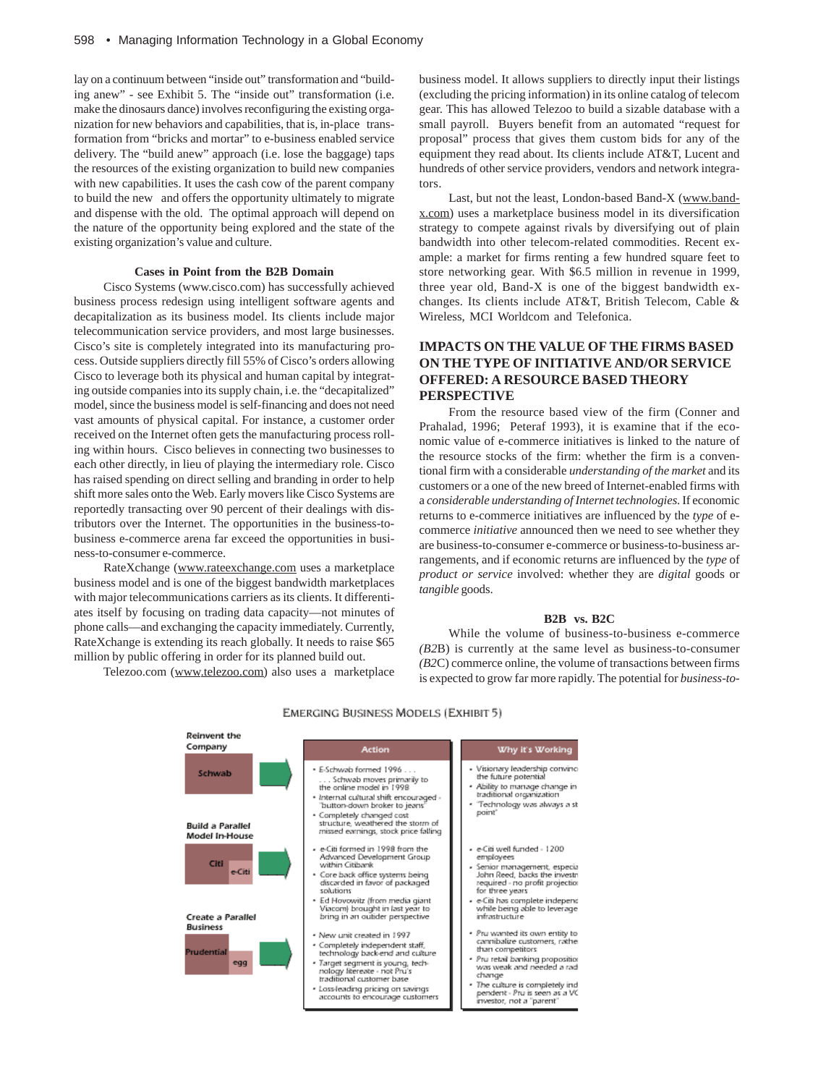lay on a continuum between "inside out" transformation and "building anew" - see Exhibit 5. The "inside out" transformation (i.e. make the dinosaurs dance) involves reconfiguring the existing organization for new behaviors and capabilities, that is, in-place transformation from "bricks and mortar" to e-business enabled service delivery. The "build anew" approach (i.e. lose the baggage) taps the resources of the existing organization to build new companies with new capabilities. It uses the cash cow of the parent company to build the new and offers the opportunity ultimately to migrate and dispense with the old. The optimal approach will depend on the nature of the opportunity being explored and the state of the existing organization's value and culture.

# **Cases in Point from the B2B Domain**

Cisco Systems (www.cisco.com) has successfully achieved business process redesign using intelligent software agents and decapitalization as its business model. Its clients include major telecommunication service providers, and most large businesses. Cisco's site is completely integrated into its manufacturing process. Outside suppliers directly fill 55% of Cisco's orders allowing Cisco to leverage both its physical and human capital by integrating outside companies into its supply chain, i.e. the "decapitalized" model, since the business model is self-financing and does not need vast amounts of physical capital. For instance, a customer order received on the Internet often gets the manufacturing process rolling within hours. Cisco believes in connecting two businesses to each other directly, in lieu of playing the intermediary role. Cisco has raised spending on direct selling and branding in order to help shift more sales onto the Web. Early movers like Cisco Systems are reportedly transacting over 90 percent of their dealings with distributors over the Internet. The opportunities in the business-tobusiness e-commerce arena far exceed the opportunities in business-to-consumer e-commerce.

RateXchange (www.rateexchange.com uses a marketplace business model and is one of the biggest bandwidth marketplaces with major telecommunications carriers as its clients. It differentiates itself by focusing on trading data capacity—not minutes of phone calls—and exchanging the capacity immediately. Currently, RateXchange is extending its reach globally. It needs to raise \$65 million by public offering in order for its planned build out.

**Production Control** 

Telezoo.com (www.telezoo.com) also uses a marketplace

business model. It allows suppliers to directly input their listings (excluding the pricing information) in its online catalog of telecom gear. This has allowed Telezoo to build a sizable database with a small payroll. Buyers benefit from an automated "request for proposal" process that gives them custom bids for any of the equipment they read about. Its clients include AT&T, Lucent and hundreds of other service providers, vendors and network integrators.

Last, but not the least, London-based Band-X (www.bandx.com) uses a marketplace business model in its diversification strategy to compete against rivals by diversifying out of plain bandwidth into other telecom-related commodities. Recent example: a market for firms renting a few hundred square feet to store networking gear. With \$6.5 million in revenue in 1999, three year old, Band-X is one of the biggest bandwidth exchanges. Its clients include AT&T, British Telecom, Cable & Wireless, MCI Worldcom and Telefonica.

# **IMPACTS ON THE VALUE OF THE FIRMS BASED ON THE TYPE OF INITIATIVE AND/OR SERVICE OFFERED: A RESOURCE BASED THEORY PERSPECTIVE**

From the resource based view of the firm (Conner and Prahalad, 1996; Peteraf 1993), it is examine that if the economic value of e-commerce initiatives is linked to the nature of the resource stocks of the firm: whether the firm is a conventional firm with a considerable *understanding of the market* and its customers or a one of the new breed of Internet-enabled firms with a *considerable understanding of Internet technologies*. If economic returns to e-commerce initiatives are influenced by the *type* of ecommerce *initiative* announced then we need to see whether they are business-to-consumer e-commerce or business-to-business arrangements, and if economic returns are influenced by the *type* of *product or service* involved: whether they are *digital* goods or *tangible* goods.

# **B2B vs. B2C**

While the volume of business-to-business e-commerce *(B2*B) is currently at the same level as business-to-consumer *(B2*C) commerce online, the volume of transactions between firms is expected to grow far more rapidly. The potential for *business-to-*

| Company                                             | Action                                                                                                                                                                                                                                                                        | Why it's Working                                                                                                                                                                                                                                                |
|-----------------------------------------------------|-------------------------------------------------------------------------------------------------------------------------------------------------------------------------------------------------------------------------------------------------------------------------------|-----------------------------------------------------------------------------------------------------------------------------------------------------------------------------------------------------------------------------------------------------------------|
| Schwab<br><b>Build a Parallel</b><br>Model In-House | · E-Schwab formed 1996<br>. Schwab moves primarily to<br>the online model in 1998.<br>· Internal cultural shift encouraged -<br>button-down broker to jeans'<br>• Completely changed cost<br>structure, weathered the storm of<br>missed earnings, stock price falling        | - Visionary leadership convinci<br>the future potential<br>- Ability to manage change in<br>traditional organization<br>- Technology was always a st<br>point"                                                                                                  |
| Citi<br>e-Citi<br><b>Create a Parallel</b>          | - e-Citi formed in 1998 from the<br>Advanced Development Group<br>within Citibank<br>• Core back office systems being<br>discarded in favor of packaged<br>solutions<br>• Ed Hovowitz (from media giant<br>Viacom) brought in last year to<br>bring in an outider perspective | - e-Citi well funded - 1200<br>employees<br>- Senior management, especia<br>John Reed, backs the investri<br>required - no profit projection<br>for three years<br>- e-Citi has complete independ<br>while being able to leverage<br>infrastructure             |
| <b>Business</b><br>Prudential<br>egg                | . New unit created in 1997.<br>· Completely independent staff,<br>technology back-end and culture<br>· Target segment is young, tech-<br>nology litereate - not Pru's<br>traditional customer base<br>· Lossleading pricing on savings<br>accounts to encourage customers     | - Pru wanted its own entity to<br>cannibalize customers, rather<br>than competitors<br>· Pru retail banking proposition<br>was weak and needed a radi<br>change<br>· The culture is completely ind<br>pendent - Pru is seen as a VC<br>investor, not a "parent" |

#### **EMERGING BUSINESS MODELS (EXHIBIT 5)**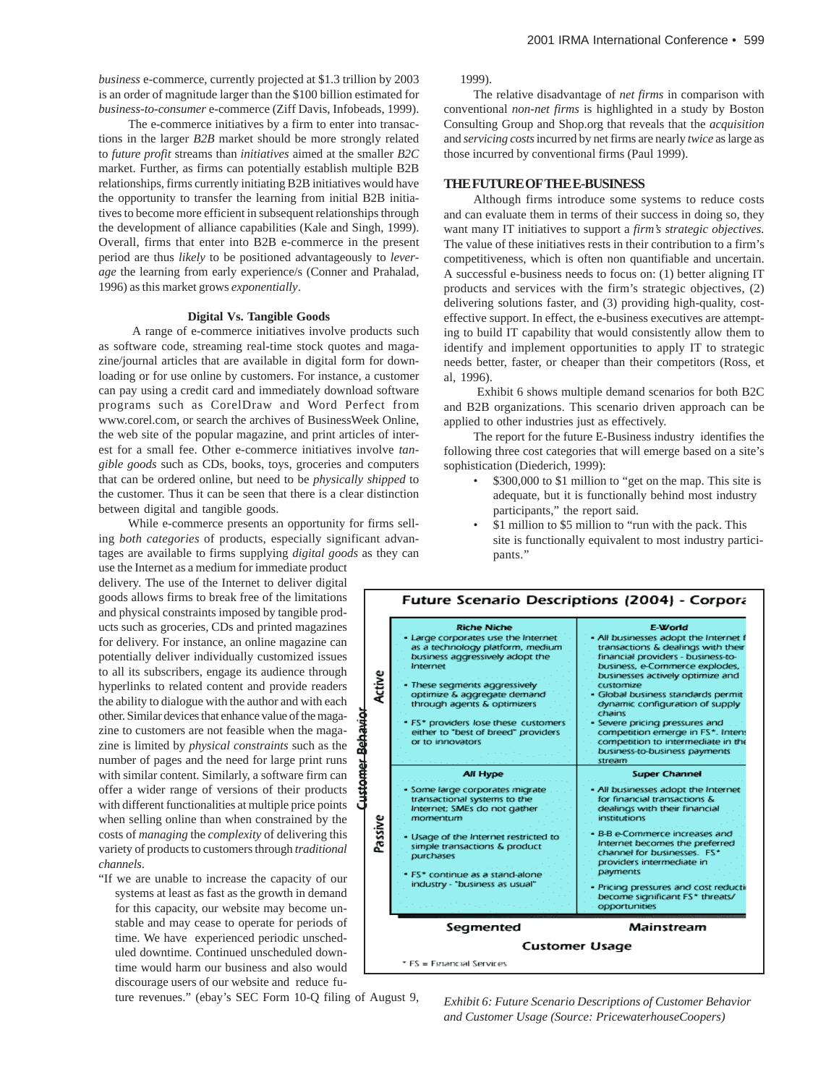*business* e-commerce, currently projected at \$1.3 trillion by 2003 is an order of magnitude larger than the \$100 billion estimated for *business-to-consumer* e-commerce (Ziff Davis, Infobeads, 1999).

The e-commerce initiatives by a firm to enter into transactions in the larger *B2B* market should be more strongly related to *future profit* streams than *initiatives* aimed at the smaller *B2C* market. Further, as firms can potentially establish multiple B2B relationships, firms currently initiating B2B initiatives would have the opportunity to transfer the learning from initial B2B initiatives to become more efficient in subsequent relationships through the development of alliance capabilities (Kale and Singh, 1999). Overall, firms that enter into B2B e-commerce in the present period are thus *likely* to be positioned advantageously to *leverage* the learning from early experience/s (Conner and Prahalad, 1996) as this market grows *exponentially*.

#### **Digital Vs. Tangible Goods**

 A range of e-commerce initiatives involve products such as software code, streaming real-time stock quotes and magazine/journal articles that are available in digital form for downloading or for use online by customers. For instance, a customer can pay using a credit card and immediately download software programs such as CorelDraw and Word Perfect from www.corel.com, or search the archives of BusinessWeek Online, the web site of the popular magazine, and print articles of interest for a small fee. Other e-commerce initiatives involve *tangible goods* such as CDs, books, toys, groceries and computers that can be ordered online, but need to be *physically shipped* to the customer. Thus it can be seen that there is a clear distinction between digital and tangible goods.

While e-commerce presents an opportunity for firms selling *both categories* of products, especially significant advantages are available to firms supplying *digital goods* as they can

use the Internet as a medium for immediate product delivery. The use of the Internet to deliver digital goods allows firms to break free of the limitations and physical constraints imposed by tangible products such as groceries*,* CDs and printed magazines for delivery. For instance, an online magazine can potentially deliver individually customized issues to all its subscribers, engage its audience through hyperlinks to related content and provide readers the ability to dialogue with the author and with each other. Similar devices that enhance value of the magazine to customers are not feasible when the magazine is limited by *physical constraints* such as the number of pages and the need for large print runs with similar content. Similarly, a software firm can offer a wider range of versions of their products with different functionalities at multiple price points when selling online than when constrained by the costs of *managing* the *complexity* of delivering this variety of products to customers through *traditional channels*.

"If we are unable to increase the capacity of our systems at least as fast as the growth in demand for this capacity, our website may become unstable and may cease to operate for periods of time. We have experienced periodic unscheduled downtime. Continued unscheduled downtime would harm our business and also would discourage users of our website and reduce fu-

ture revenues." (ebay's SEC Form 10-Q filing of August 9,

1999).

The relative disadvantage of *net firms* in comparison with conventional *non-net firms* is highlighted in a study by Boston Consulting Group and Shop.org that reveals that the *acquisition* and *servicing costs* incurred by net firms are nearly *twice* as large as those incurred by conventional firms (Paul 1999).

# **THE FUTURE OF THE E-BUSINESS**

Although firms introduce some systems to reduce costs and can evaluate them in terms of their success in doing so, they want many IT initiatives to support a *firm's strategic objectives.* The value of these initiatives rests in their contribution to a firm's competitiveness, which is often non quantifiable and uncertain. A successful e-business needs to focus on: (1) better aligning IT products and services with the firm's strategic objectives, (2) delivering solutions faster, and (3) providing high-quality, costeffective support. In effect, the e-business executives are attempting to build IT capability that would consistently allow them to identify and implement opportunities to apply IT to strategic needs better, faster, or cheaper than their competitors (Ross, et al, 1996).

 Exhibit 6 shows multiple demand scenarios for both B2C and B2B organizations. This scenario driven approach can be applied to other industries just as effectively.

The report for the future E-Business industry identifies the following three cost categories that will emerge based on a site's sophistication (Diederich, 1999):

- \$300,000 to \$1 million to "get on the map. This site is adequate, but it is functionally behind most industry participants," the report said.
- \$1 million to \$5 million to "run with the pack. This site is functionally equivalent to most industry participants."



*Exhibit 6: Future Scenario Descriptions of Customer Behavior and Customer Usage (Source: PricewaterhouseCoopers)*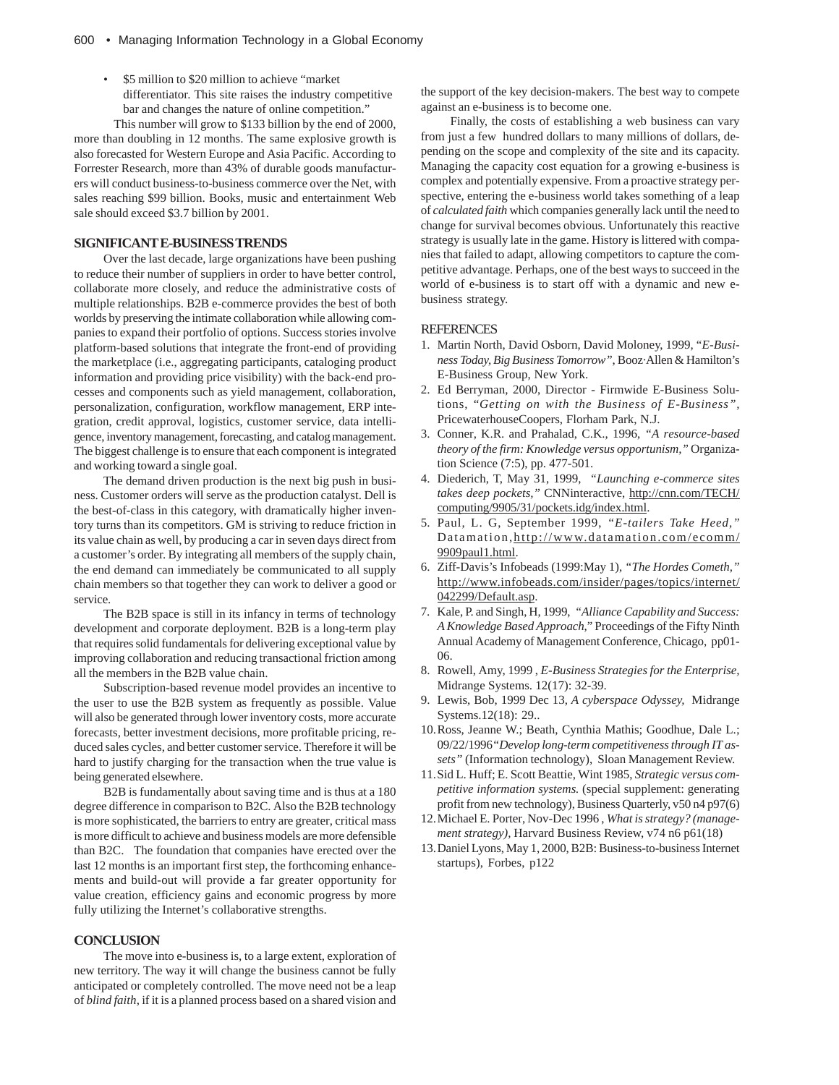• \$5 million to \$20 million to achieve "market differentiator. This site raises the industry competitive bar and changes the nature of online competition."

 This number will grow to \$133 billion by the end of 2000, more than doubling in 12 months. The same explosive growth is also forecasted for Western Europe and Asia Pacific. According to Forrester Research, more than 43% of durable goods manufacturers will conduct business-to-business commerce over the Net, with sales reaching \$99 billion. Books, music and entertainment Web sale should exceed \$3.7 billion by 2001.

# **SIGNIFICANT E-BUSINESS TRENDS**

Over the last decade, large organizations have been pushing to reduce their number of suppliers in order to have better control, collaborate more closely, and reduce the administrative costs of multiple relationships. B2B e-commerce provides the best of both worlds by preserving the intimate collaboration while allowing companies to expand their portfolio of options. Success stories involve platform-based solutions that integrate the front-end of providing the marketplace (i.e., aggregating participants, cataloging product information and providing price visibility) with the back-end processes and components such as yield management, collaboration, personalization, configuration, workflow management, ERP integration, credit approval, logistics, customer service, data intelligence, inventory management, forecasting, and catalog management. The biggest challenge is to ensure that each component is integrated and working toward a single goal.

The demand driven production is the next big push in business. Customer orders will serve as the production catalyst. Dell is the best-of-class in this category, with dramatically higher inventory turns than its competitors. GM is striving to reduce friction in its value chain as well, by producing a car in seven days direct from a customer's order. By integrating all members of the supply chain, the end demand can immediately be communicated to all supply chain members so that together they can work to deliver a good or service.

The B2B space is still in its infancy in terms of technology development and corporate deployment. B2B is a long-term play that requires solid fundamentals for delivering exceptional value by improving collaboration and reducing transactional friction among all the members in the B2B value chain.

Subscription-based revenue model provides an incentive to the user to use the B2B system as frequently as possible. Value will also be generated through lower inventory costs, more accurate forecasts, better investment decisions, more profitable pricing, reduced sales cycles, and better customer service. Therefore it will be hard to justify charging for the transaction when the true value is being generated elsewhere.

B2B is fundamentally about saving time and is thus at a 180 degree difference in comparison to B2C. Also the B2B technology is more sophisticated, the barriers to entry are greater, critical mass is more difficult to achieve and business models are more defensible than B2C. The foundation that companies have erected over the last 12 months is an important first step, the forthcoming enhancements and build-out will provide a far greater opportunity for value creation, efficiency gains and economic progress by more fully utilizing the Internet's collaborative strengths.

# **CONCLUSION**

The move into e-business is, to a large extent, exploration of new territory. The way it will change the business cannot be fully anticipated or completely controlled. The move need not be a leap of *blind faith*, if it is a planned process based on a shared vision and

the support of the key decision-makers. The best way to compete against an e-business is to become one.

Finally, the costs of establishing a web business can vary from just a few hundred dollars to many millions of dollars, depending on the scope and complexity of the site and its capacity. Managing the capacity cost equation for a growing e-business is complex and potentially expensive. From a proactive strategy perspective, entering the e-business world takes something of a leap of *calculated faith* which companies generally lack until the need to change for survival becomes obvious. Unfortunately this reactive strategy is usually late in the game. History is littered with companies that failed to adapt, allowing competitors to capture the competitive advantage. Perhaps, one of the best ways to succeed in the world of e-business is to start off with a dynamic and new ebusiness strategy.

#### **REFERENCES**

- 1. Martin North, David Osborn, David Moloney, 1999, "*E-Business Today, Big Business Tomorrow"*, Booz·Allen & Hamilton's E-Business Group, New York.
- 2. Ed Berryman, 2000, Director Firmwide E-Business Solutions, "*Getting on with the Business of E-Business",* PricewaterhouseCoopers, Florham Park, N.J.
- 3. Conner, K.R. and Prahalad, C.K., 1996, *"A resource-based theory of the firm: Knowledge versus opportunism,"* Organization Science (7:5), pp. 477-501.
- 4. Diederich, T, May 31, 1999, *"Launching e-commerce sites takes deep pockets,"* CNNinteractive, http://cnn.com/TECH/ computing/9905/31/pockets.idg/index.html.
- 5. Paul, L. G, September 1999, *"E-tailers Take Heed,"* Datamation,http://www.datamation.com/ecomm/ 9909paul1.html.
- 6. Ziff-Davis's Infobeads (1999:May 1), *"The Hordes Cometh,"* http://www.infobeads.com/insider/pages/topics/internet/ 042299/Default.asp.
- 7. Kale, P. and Singh, H, 1999, *"Alliance Capability and Success: A Knowledge Based Approach*," Proceedings of the Fifty Ninth Annual Academy of Management Conference, Chicago, pp01- 06.
- 8. Rowell, Amy, 1999 , *E-Business Strategies for the Enterprise,* Midrange Systems. 12(17): 32-39.
- 9. Lewis, Bob, 1999 Dec 13, *A cyberspace Odyssey,* Midrange Systems.12(18): 29..
- 10.Ross, Jeanne W.; Beath, Cynthia Mathis; Goodhue, Dale L.; 09/22/1996*"Develop long-term competitiveness through IT assets"* (Information technology), Sloan Management Review.
- 11.Sid L. Huff; E. Scott Beattie, Wint 1985, *Strategic versus competitive information systems.* (special supplement: generating profit from new technology), Business Quarterly, v50 n4 p97(6)
- 12.Michael E. Porter, Nov-Dec 1996 , *What is strategy? (management strategy),* Harvard Business Review, v74 n6 p61(18)
- 13.Daniel Lyons, May 1, 2000, B2B: Business-to-business Internet startups), Forbes, p122